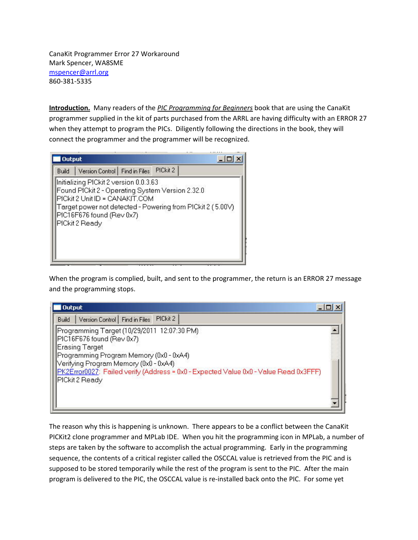CanaKit Programmer Error 27 Workaround Mark Spencer, WA8SME mspencer@arrl.org 860‐381‐5335

**Introduction.** Many readers of the *PIC Programming for Beginners* book that are using the CanaKit programmer supplied in the kit of parts purchased from the ARRL are having difficulty with an ERROR 27 when they attempt to program the PICs. Diligently following the directions in the book, they will connect the programmer and the programmer will be recognized.

| <b>Output</b> |                                                                                                                                                                                                                                            |          |  |
|---------------|--------------------------------------------------------------------------------------------------------------------------------------------------------------------------------------------------------------------------------------------|----------|--|
| <b>Build</b>  | Version Control   Find in Files                                                                                                                                                                                                            | PICkit 2 |  |
|               | Initializing PICkit 2 version 0.0.3.63<br>Found PICkit 2 - Operating System Version 2.32.0<br>PICkit 2 Unit ID = CANAKIT.COM<br>Tarqet power not detected - Powering from PICkit 2 ( 5.00V)<br>PIC16F676 found (Rev 0x7)<br>PICkit 2 Ready |          |  |

When the program is complied, built, and sent to the programmer, the return is an ERROR 27 message and the programming stops.

| <b>Output</b>                                                                        |  |
|--------------------------------------------------------------------------------------|--|
| PICkit 2<br>Version Control Find in Files<br>Build                                   |  |
| Programming Target (10/29/2011 12:07:30 PM)<br>PIC16F676 found (Rev 0x7)             |  |
| <b>Erasing Target</b>                                                                |  |
| Programming Program Memory (0x0 - 0xA4)                                              |  |
| Verifying Program Memory (0x0 - 0xA4)                                                |  |
| PK2Error0027: Failed verify (Address = 0x0 - Expected Value 0x0 - Value Read 0x3FFF) |  |
| PICkit 2 Ready                                                                       |  |
|                                                                                      |  |
|                                                                                      |  |
|                                                                                      |  |

The reason why this is happening is unknown. There appears to be a conflict between the CanaKit PICKit2 clone programmer and MPLab IDE. When you hit the programming icon in MPLab, a number of steps are taken by the software to accomplish the actual programming. Early in the programming sequence, the contents of a critical register called the OSCCAL value is retrieved from the PIC and is supposed to be stored temporarily while the rest of the program is sent to the PIC. After the main program is delivered to the PIC, the OSCCAL value is re-installed back onto the PIC. For some yet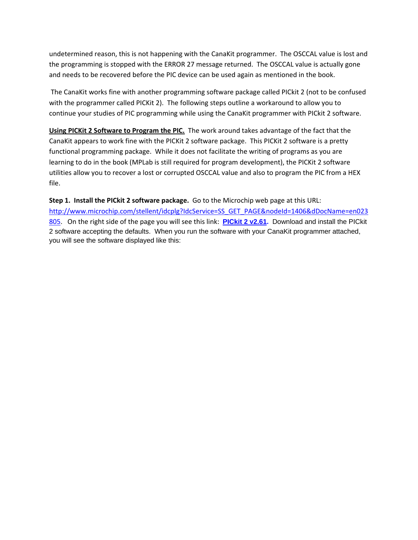undetermined reason, this is not happening with the CanaKit programmer. The OSCCAL value is lost and the programming is stopped with the ERROR 27 message returned. The OSCCAL value is actually gone and needs to be recovered before the PIC device can be used again as mentioned in the book.

The CanaKit works fine with another programming software package called PICkit 2 (not to be confused with the programmer called PICKit 2). The following steps outline a workaround to allow you to continue your studies of PIC programming while using the CanaKit programmer with PICkit 2 software.

**Using PICKit 2 Software to Program the PIC.** The work around takes advantage of the fact that the CanaKit appears to work fine with the PICKit 2 software package. This PICKit 2 software is a pretty functional programming package. While it does not facilitate the writing of programs as you are learning to do in the book (MPLab is still required for program development), the PICKit 2 software utilities allow you to recover a lost or corrupted OSCCAL value and also to program the PIC from a HEX file.

**Step 1. Install the PICkit 2 software package.** Go to the Microchip web page at this URL:

http://www.microchip.com/stellent/idcplg?IdcService=SS\_GET\_PAGE&nodeId=1406&dDocName=en023 805. On the right side of the page you will see this link: **PICkit 2 v2.61.** Download and install the PICkit 2 software accepting the defaults. When you run the software with your CanaKit programmer attached, you will see the software displayed like this: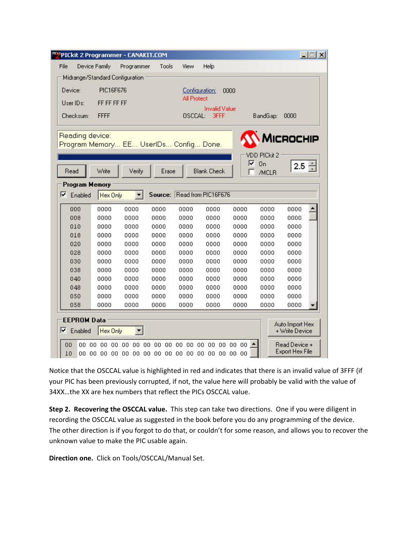| <b>""PICkit 2 Programmer - CANAKIT.COM</b> |               |                                     |                               |                    |                             |                |                     |                                         | $ \Box$ $\times$ |
|--------------------------------------------|---------------|-------------------------------------|-------------------------------|--------------------|-----------------------------|----------------|---------------------|-----------------------------------------|------------------|
| File                                       | Device Family | Programmer                          | Tools                         | View               | Help                        |                |                     |                                         |                  |
| Midrange/Standard Configuration            |               |                                     |                               |                    |                             |                |                     |                                         |                  |
| Device:                                    | PIC16F676     |                                     |                               |                    | Configuration:              | 0000           |                     |                                         |                  |
| User IDs:                                  | FF FF FF FF   |                                     |                               | <b>All Protect</b> |                             |                |                     |                                         |                  |
|                                            |               |                                     |                               |                    | <b>Invalid Value</b>        |                |                     |                                         |                  |
| Checksum:                                  | <b>FFFF</b>   |                                     |                               | OSCCAL:            | <b>3FFF</b>                 |                | BandGap:            | 0000                                    |                  |
| Reading device:                            |               |                                     |                               |                    |                             |                |                     | <b>AICROCHIP</b>                        |                  |
| Program Memory EE UserIDs Config Done.     |               |                                     |                               |                    |                             |                |                     |                                         |                  |
|                                            |               |                                     |                               |                    |                             |                | <b>VDD PICkit 2</b> |                                         |                  |
|                                            |               |                                     |                               |                    |                             | ⊽              | <b>On</b>           | 2.5                                     |                  |
| Read                                       | Write         | Verify                              | Erase                         |                    | <b>Blank Check</b>          |                | /MCLR               |                                         |                  |
| <b>Program Memory</b>                      |               |                                     |                               |                    |                             |                |                     |                                         |                  |
| ⊽<br>Enabled                               | Hex Only      |                                     |                               |                    | Source: Read from PIC16F676 |                |                     |                                         |                  |
| 000                                        | 0000          | 0000                                | 0000                          | 0000               | 0000                        | 0000           | 0000                | 0000                                    |                  |
| 008                                        | 0000          | 0000                                | 0000                          | 0000               | 0000                        | 0000           | 0000                | 0000                                    |                  |
| 010                                        | 0000          | 0000                                | 0000                          | 0000               | 0000                        | 0000           | 0000                | 0000                                    |                  |
| 018                                        | 0000          | 0000                                | 0000                          | 0000               | 0000                        | 0000           | 0000                | 0000                                    |                  |
| 020                                        | 0000          | 0000                                | 0000                          | 0000               | 0000                        | 0000           | 0000                | 0000                                    |                  |
| 028                                        | 0000          | 0000                                | 0000                          | 0000               | 0000                        | 0000           | 0000                | 0000                                    |                  |
| 030                                        | 0000          | 0000                                | 0000                          | 0000               | 0000                        | 0000           | 0000                | 0000                                    |                  |
| 038                                        | 0000          | 0000                                | 0000                          | 0000               | 0000                        | 0000           | 0000                | 0000                                    |                  |
| 040                                        | 0000          | 0000                                | 0000                          | 0000               | 0000                        | 0000           | 0000                | 0000                                    |                  |
| 048                                        | 0000          | 0000                                | 0000                          | 0000               | 0000                        | 0000           | 0000                | 0000                                    |                  |
| 050                                        | 0000          | 0000                                | 0000                          | 0000               | 0000                        | 0000           | 0000                | 0000                                    |                  |
| 058                                        | 0000          | 0000                                | 0000                          | 0000               | 0000                        | 0000           | 0000                | 0000                                    |                  |
| <b>EEPROM Data</b>                         |               |                                     |                               |                    |                             |                |                     |                                         |                  |
| ⊽<br>Enabled                               | Hex Only      |                                     |                               |                    |                             |                |                     | Auto Import Hex<br>+ Write Device       |                  |
| 00<br>00<br>10                             | 00<br>00      | 00 00<br>00<br>00 00 00 00 00 00 00 | 00<br>00<br>00<br>00 00 00 00 | 00<br>00           | 00<br>00<br>00<br>00 00 00  | 00 00 00<br>00 |                     | Read Device +<br><b>Export Hex File</b> |                  |

Notice that the OSCCAL value is highlighted in red and indicates that there is an invalid value of 3FFF (if your PIC has been previously corrupted, if not, the value here will probably be valid with the value of 34XX…the XX are hex numbers that reflect the PICs OSCCAL value.

**Step 2. Recovering the OSCCAL value.** This step can take two directions. One if you were diligent in recording the OSCCAL value as suggested in the book before you do any programming of the device. The other direction is if you forgot to do that, or couldn't for some reason, and allows you to recover the unknown value to make the PIC usable again.

**Direction one.** Click on Tools/OSCCAL/Manual Set.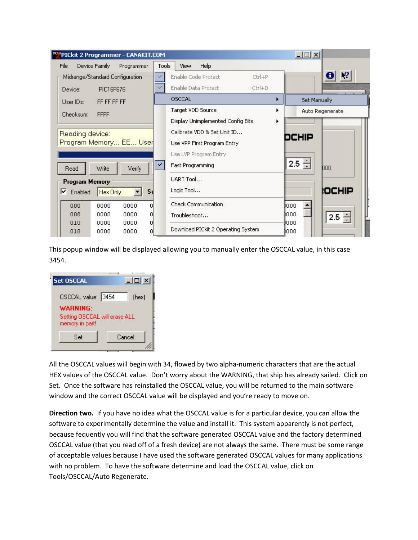|                                | PICkit 2 Programmer - CANAKIT.COM                             |                         |                                                                                                                         |                     | $ \Box$ $\times$        |
|--------------------------------|---------------------------------------------------------------|-------------------------|-------------------------------------------------------------------------------------------------------------------------|---------------------|-------------------------|
| File<br>Device:                | Device Family<br>Midrange/Standard Configuration<br>PIC16F676 | Programmer              | Tools<br>Help<br>View<br>Enable Code Protect<br>Enable Data Protect<br><b>OSCCAL</b>                                    | $Ctr$ H-P<br>Ctrl+D | Set Manually            |
| User IDs:<br>Checksum:         | FF FF FF FF<br><b>FFFF</b>                                    |                         | Target VDD Source<br>Display Unimplemented Config Bits                                                                  |                     | Auto Regenerate         |
| Reading device:<br>Read        | Program Memory EE User<br>Write                               | Verify                  | Calibrate VDD & Set Unit ID<br>Use VPP First Program Entry<br>Use LVP Program Entry<br>$\checkmark$<br>Fast Programming |                     | DCHIP<br>$2.5 -$<br>000 |
| Program Memory<br>⊽<br>Enabled | Hex Only                                                      | Sc                      | LIART Tool<br>Logic Tool                                                                                                |                     | <b>IOCHIP</b>           |
| 000<br>008                     | 0000<br>0000                                                  | 0000<br>n<br>0000<br>Οl | <b>Check Communication</b><br>Troubleshoot                                                                              |                     | 1000<br>1000<br>$2.5 -$ |
| 010<br>018                     | 0000<br>0000                                                  | 0000<br>α<br>0000<br>n  | Download PICkit 2 Operating System                                                                                      |                     | 1000<br>1000            |

This popup window will be displayed allowing you to manually enter the OSCCAL value, in this case 3454.

| <b>Set OSCCAL</b>             | $  $ $\Box$   $\times$ |
|-------------------------------|------------------------|
| OSCCAL value: 3454            | (hex)                  |
| <b>WARNING:</b>               |                        |
| Setting OSCCAL will erase ALL |                        |
| memory in part!               |                        |

All the OSCCAL values will begin with 34, flowed by two alpha‐numeric characters that are the actual HEX values of the OSCCAL value. Don't worry about the WARNING, that ship has already sailed. Click on Set. Once the software has reinstalled the OSCCAL value, you will be returned to the main software window and the correct OSCCAL value will be displayed and you're ready to move on.

**Direction two.** If you have no idea what the OSCCAL value is for a particular device, you can allow the software to experimentally determine the value and install it. This system apparently is not perfect, because fequently you will find that the software generated OSCCAL value and the factory determined OSCCAL value (that you read off of a fresh device) are not always the same. There must be some range of acceptable values because I have used the software generated OSCCAL values for many applications with no problem. To have the software determine and load the OSCCAL value, click on Tools/OSCCAL/Auto Regenerate.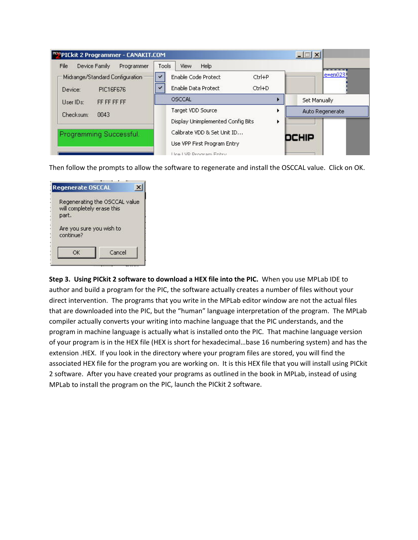| Device Family<br>File<br>Programmer                     | Help<br>Tools<br><b>View</b>                                              |                 |
|---------------------------------------------------------|---------------------------------------------------------------------------|-----------------|
| Midrange/Standard Configuration<br>PIC16F676<br>Device: | <b>Enable Code Protect</b><br>$Ctrl + P$<br>Enable Data Protect<br>Ctrl+D | $e = en023$     |
| FF FF FF FF<br>User IDs:                                | OSCCAL                                                                    | Set Manually    |
| 0043<br>Checksum:                                       | Target VDD Source<br>Display Unimplemented Config Bits                    | Auto Regenerate |
| Programming Successful.                                 | Calibrate VDD & Set Unit ID<br>Use VPP First Program Entry                | DCHIP           |

Then follow the prompts to allow the software to regenerate and install the OSCCAL value. Click on OK.

| Regenerate OSCCAL                     |                               |
|---------------------------------------|-------------------------------|
| will completely erase this<br>part.   | Regenerating the OSCCAL value |
| Are you sure you wish to<br>continue? |                               |
| ОΚ                                    | Cancel                        |

**Step 3. Using PICkit 2 software to download a HEX file into the PIC.** When you use MPLab IDE to author and build a program for the PIC, the software actually creates a number of files without your direct intervention. The programs that you write in the MPLab editor window are not the actual files that are downloaded into the PIC, but the "human" language interpretation of the program. The MPLab compiler actually converts your writing into machine language that the PIC understands, and the program in machine language is actually what is installed onto the PIC. That machine language version of your program is in the HEX file (HEX is short for hexadecimal…base 16 numbering system) and has the extension .HEX. If you look in the directory where your program files are stored, you will find the associated HEX file for the program you are working on. It is this HEX file that you will install using PICkit 2 software. After you have created your programs as outlined in the book in MPLab, instead of using MPLab to install the program on the PIC, launch the PICkit 2 software.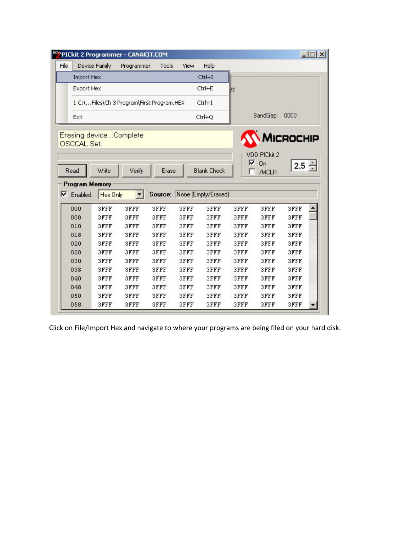| File | Device Family         |                 | Programmer                                | Tools        | View                        | Help                |              |              |              |  |
|------|-----------------------|-----------------|-------------------------------------------|--------------|-----------------------------|---------------------|--------------|--------------|--------------|--|
|      | Import Hex            |                 |                                           |              |                             | Ctrl+I              |              |              |              |  |
|      | Export Hex            |                 |                                           |              |                             | Ctrl+E              | 7F           |              |              |  |
|      |                       |                 | 1 C:\Files\Ch 3 Program\First Program.HEX |              |                             | $Ctrl+1$            |              |              |              |  |
|      | Exit                  |                 |                                           |              |                             | Ctrl+Q              |              | BandGap:     | 0000         |  |
|      |                       | Write           | Verify                                    | Erase        |                             | <b>Blank Check</b>  | ⊽            | On           | $2.5 -$      |  |
| Read | <b>Program Memory</b> |                 |                                           |              |                             |                     |              | /MCLR        |              |  |
|      | Enabled               | <b>Hex Only</b> | ▼                                         |              | Source: None (Empty/Erased) |                     |              |              |              |  |
|      | 000                   | 3FFF            | 3FFF                                      | 3FFF         | <b>3FFF</b>                 | 3FFF                | 3FFF         | 3FFF         | 3FFF         |  |
|      | 008                   | 3FFF            | 3FFF                                      | 3FFF         | <b>3FFF</b>                 | <b>3FFF</b>         | 3FFF         | 3FFF         | 3FFF         |  |
|      | 010                   | 3FFF            | 3FFF                                      | 3FFF         | <b>3FFF</b>                 | 3FFF                | <b>3FFF</b>  | 3FFF         | 3FFF         |  |
|      | 018<br>020            | 3FFF<br>3FFF    | 3FFF<br>3FFF                              | 3FFF<br>3FFF | 3FFF<br><b>SFFF</b>         | <b>3FFF</b><br>3FFF | 3FFF<br>3FFF | 3FFF<br>3FFF | 3FFF<br>3FFF |  |
|      | 028                   | 3FFF            | 3FFF                                      | 3FFF         | 3FFF                        | 3FFF                | 3FFF         | 3FFF         | 3FFF         |  |
|      | 030                   | 3FFF            | 3FFF                                      | 3FFF         | 3FFF                        | 3FFF                | 3FFF         | 3FFF         | 3FFF         |  |
|      | 038                   | 3FFF            | 3FFF                                      | 3FFF         | <b>3FFF</b>                 | <b>3FFF</b>         | 3FFF         | 3FFF         | 3FFF         |  |
|      | 040                   | 3FFF            | 3FFF                                      | 3FFF         | 3FFF                        | 3FFF                | 3FFF         | 3FFF         | 3FFF         |  |
|      | 048                   | 3FFF            | 3FFF                                      | 3FFF         | <b>3FFF</b>                 | 3FFF                | 3FFF         | 3FFF         | 3FFF         |  |
| ⊽    | 050                   | 3FFF            | 3FFF                                      | 3FFF         | <b>3FFF</b>                 | <b>3FFF</b>         | 3FFF         | 3FFF         | 3FFF         |  |

Click on File/Import Hex and navigate to where your programs are being filed on your hard disk.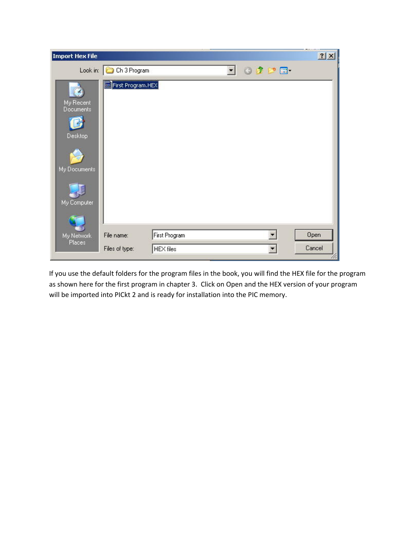| <b>Import Hex File</b>                                                         |                         |                  |                          |                 | <b>Service</b><br>? X |
|--------------------------------------------------------------------------------|-------------------------|------------------|--------------------------|-----------------|-----------------------|
|                                                                                | Look in: C Ch 3 Program |                  | $\overline{\phantom{a}}$ | $O$ $O$ $P$ $H$ |                       |
| My Recent<br><b>Documents</b><br><b>Desktop</b><br>My Documents<br>My Computer | First Program.HEX       |                  |                          |                 |                       |
| My Network                                                                     | File name:              | First Program    |                          |                 | Open                  |
| Places                                                                         | Files of type:          | <b>HEX</b> files |                          |                 | Cancel                |

If you use the default folders for the program files in the book, you will find the HEX file for the program as shown here for the first program in chapter 3. Click on Open and the HEX version of your program will be imported into PICkt 2 and is ready for installation into the PIC memory.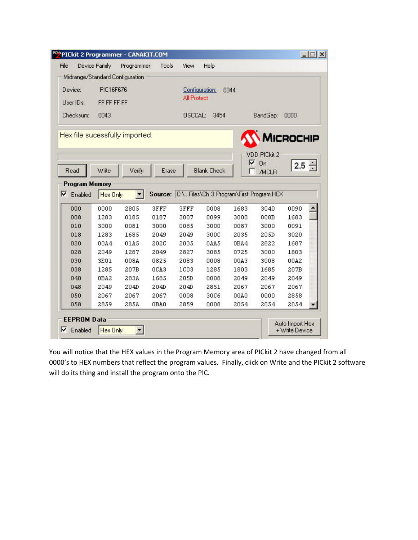| File                            | Device Family | Programmer   | Tools        | View               | Help               |              |                                                 |              |  |
|---------------------------------|---------------|--------------|--------------|--------------------|--------------------|--------------|-------------------------------------------------|--------------|--|
| Midrange/Standard Configuration |               |              |              |                    |                    |              |                                                 |              |  |
| Device:                         | PIC16F676     |              |              | Configuration:     |                    | 0044         |                                                 |              |  |
| User IDs:                       | FF FF FF FF   |              |              | <b>All Protect</b> |                    |              |                                                 |              |  |
| Checksum:                       | 0043          |              |              | OSCCAL:            | 3454               |              | BandGap:                                        | 0000         |  |
|                                 |               |              |              |                    |                    |              |                                                 |              |  |
| Hex file sucessfully imported.  |               |              |              |                    |                    |              |                                                 |              |  |
|                                 |               |              |              |                    |                    |              |                                                 | MICROCHIP    |  |
|                                 |               |              |              |                    |                    |              | <b>VDD PICkit 2</b>                             |              |  |
|                                 |               |              |              |                    |                    | ⊽            | <b>On</b>                                       | 2.5          |  |
| Read                            | Write         | Verify       | Erase        |                    | <b>Blank Check</b> |              | /MCLR                                           |              |  |
| <b>Program Memory</b>           |               |              |              |                    |                    |              |                                                 |              |  |
| ⊽<br>Enabled                    | Hex Only      |              |              |                    |                    |              | Source: C:\Files\Ch 3 Program\First Program.HEX |              |  |
|                                 |               |              |              |                    |                    |              |                                                 |              |  |
|                                 |               |              |              |                    |                    |              |                                                 |              |  |
| 000                             | 0000          | 2805         | 3FFF         | 3FFF               | 0008               | 1683         | 3040                                            | 0090         |  |
| 008                             | 1283          | 0185         | 0187         | 3007               | 0099               | 3000         | 008B                                            | 1683         |  |
| 010                             | 3000          | 0081         | 3000         | 0085               | 3000               | 0087         | 3000                                            | 0091         |  |
| 018                             | 1283          | 1685         | 2049         | 2049               | 300C               | 2035         | 205D                                            | 3020         |  |
| 020<br>028                      | 00A4<br>2049  | 01A5<br>1287 | 202C<br>2049 | 2035<br>2827       | 0AA5<br>3085       | 0BA4<br>0725 | 2822<br>3000                                    | 1687<br>1803 |  |
| 030                             | 3E01          | 008A         | 0825         | 2083               | 0008               | 00A3         | 3008                                            | 00A2         |  |
| 038                             | 1285          | 207B         | OCA3         | <b>1C03</b>        | 1285               | 1803         | 1685                                            | 207B         |  |
| 040                             | OBA2          | 283A         | 1685         | 205D               | 0008               | 2049         | 2049                                            | 2049         |  |
| 048                             | 2049          | 204D         | 204D         | 204D               | 2851               | 2067         | 2067                                            | 2067         |  |
| 050                             | 2067          | 2067         | 2067         | 0008               | 30C6               | 00A0         | 0000                                            | 2858         |  |
| 058                             | 2859          | 285A         | 0BA0         | 2859               | 0008               | 2054         | 2054                                            | 2054         |  |
| <b>EEPROM Data</b>              |               |              |              |                    |                    |              |                                                 |              |  |

You will notice that the HEX values in the Program Memory area of PICkit 2 have changed from all 0000's to HEX numbers that reflect the program values. Finally, click on Write and the PICkit 2 software will do its thing and install the program onto the PIC.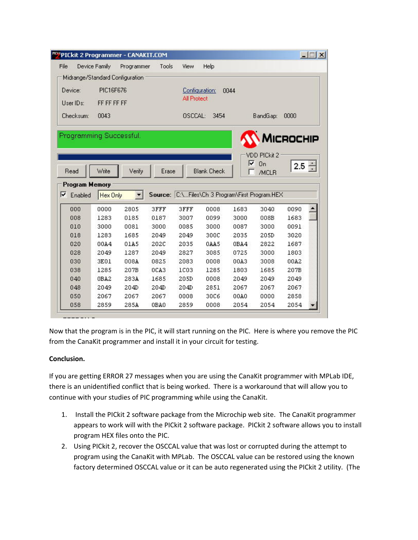|                                 |               | <b>"O'PICkit 2 Programmer - CANAKIT.COM</b> |                  |                    |                                                 |              |                                  |              | $ \Box$ $\times$ |
|---------------------------------|---------------|---------------------------------------------|------------------|--------------------|-------------------------------------------------|--------------|----------------------------------|--------------|------------------|
| File                            | Device Family | Programmer                                  | Tools            | View               | Help                                            |              |                                  |              |                  |
| Midrange/Standard Configuration |               |                                             |                  |                    |                                                 |              |                                  |              |                  |
| Device:                         | PIC16F676     |                                             |                  |                    | Configuration:                                  | 0044         |                                  |              |                  |
|                                 |               |                                             |                  | <b>All Protect</b> |                                                 |              |                                  |              |                  |
| User IDs:                       | FF FF FF FF   |                                             |                  |                    |                                                 |              |                                  |              |                  |
| <b>Checksum:</b>                | 0043          |                                             |                  | OSCCAL:            | 3454                                            |              | BandGap:                         | 0000         |                  |
|                                 |               |                                             |                  |                    |                                                 | ⊽            | <b>VDD PICkit 2</b><br><b>On</b> | $2.5 -$      |                  |
| Read<br><b>Program Memory</b>   | Write         | Verify                                      | Erase            |                    | <b>Blank Check</b>                              |              | /MCLR                            |              |                  |
| Enabled                         | Hex Only      |                                             |                  |                    | Source: C:\Files\Ch 3 Program\First Program.HEX |              |                                  |              |                  |
| 000                             | 0000          | 2805                                        | 3FFF             | 3FFF               | 0008                                            | 1683         | 3040                             | 0090         |                  |
| 008<br>010                      | 1283<br>3000  | 0185<br>0081                                | 0187<br>3000     | 3007<br>0085       | 0099<br>3000                                    | 3000<br>0087 | 008B<br>3000                     | 1683<br>0091 |                  |
| 018                             | 1283          | 1685                                        | 2049             | 2049               | 300C                                            | 2035         | 205D                             | 3020         |                  |
| 020                             | 00A4          | 01A5                                        | 202C             | 2035               | 0AA5                                            | 0BA4         | 2822                             | 1687         |                  |
| 028                             | 2049          | 1287                                        | 2049             | 2827               | 3085                                            | 0725         | 3000                             | 1803         |                  |
| 030                             | 3E01          | 008A                                        | 0825             | 2083               | 0008                                            | 00A3         | 3008                             | 00A2         |                  |
| 038                             | 1285          | 207B                                        | OCA <sub>3</sub> | <b>1C03</b>        | 1285                                            | 1803         | 1685                             | 207B         |                  |
| ⊽<br>040                        | OBA2          | 283A                                        | 1685             | 205D               | 0008                                            | 2049         | 2049                             | 2049         |                  |
| 048                             | 2049          | 204D                                        | 204D             | 204D               | 2851                                            | 2067         | 2067                             | 2067         |                  |
| 050                             | 2067          | 2067                                        | 2067             | 0008               | 30C6                                            | 00A0         | 0000                             | 2858         |                  |

Now that the program is in the PIC, it will start running on the PIC. Here is where you remove the PIC from the CanaKit programmer and install it in your circuit for testing.

## **Conclusion.**

If you are getting ERROR 27 messages when you are using the CanaKit programmer with MPLab IDE, there is an unidentified conflict that is being worked. There is a workaround that will allow you to continue with your studies of PIC programming while using the CanaKit.

- 1. Install the PICkit 2 software package from the Microchip web site. The CanaKit programmer appears to work will with the PICkit 2 software package. PICkit 2 software allows you to install program HEX files onto the PIC.
- 2. Using PICkit 2, recover the OSCCAL value that was lost or corrupted during the attempt to program using the CanaKit with MPLab. The OSCCAL value can be restored using the known factory determined OSCCAL value or it can be auto regenerated using the PICkit 2 utility. (The